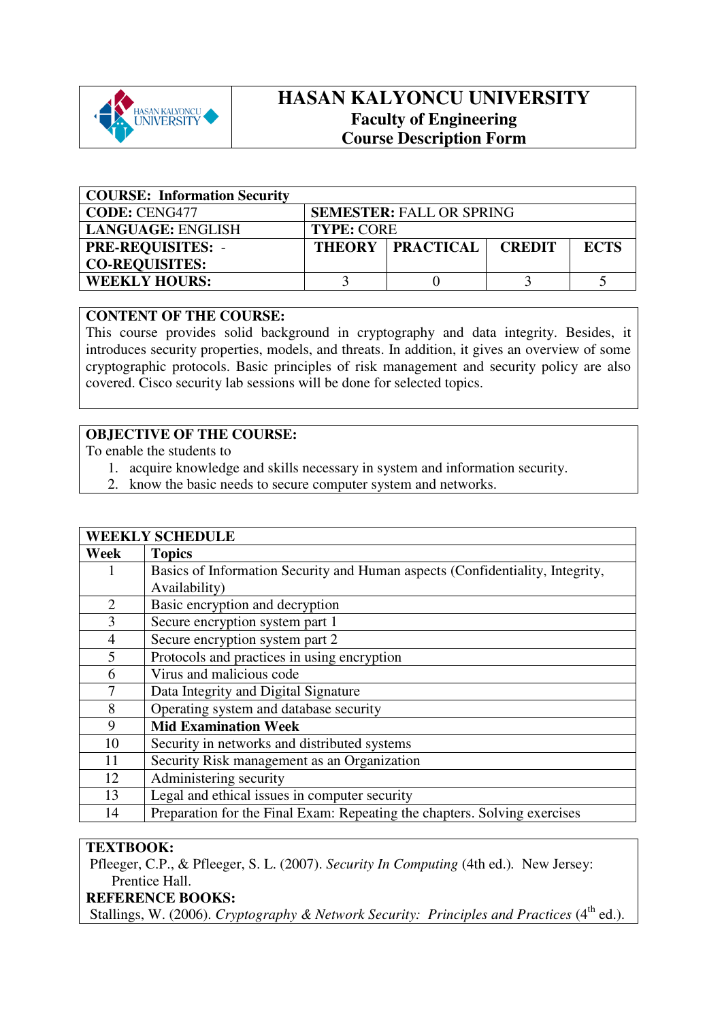

# **HASAN KALYONCU UNIVERSITY Faculty of Engineering Course Description Form**

| <b>COURSE: Information Security</b> |                   |                                 |               |             |
|-------------------------------------|-------------------|---------------------------------|---------------|-------------|
| <b>CODE: CENG477</b>                |                   | <b>SEMESTER: FALL OR SPRING</b> |               |             |
| <b>LANGUAGE: ENGLISH</b>            | <b>TYPE: CORE</b> |                                 |               |             |
| <b>PRE-REQUISITES: -</b>            |                   | <b>THEORY PRACTICAL</b>         | <b>CREDIT</b> | <b>ECTS</b> |
| <b>CO-REQUISITES:</b>               |                   |                                 |               |             |
| <b>WEEKLY HOURS:</b>                |                   |                                 |               |             |

### **CONTENT OF THE COURSE:**

This course provides solid background in cryptography and data integrity. Besides, it introduces security properties, models, and threats. In addition, it gives an overview of some cryptographic protocols. Basic principles of risk management and security policy are also covered. Cisco security lab sessions will be done for selected topics.

## **OBJECTIVE OF THE COURSE:**

To enable the students to

- 1. acquire knowledge and skills necessary in system and information security.
- 2. know the basic needs to secure computer system and networks.

| <b>WEEKLY SCHEDULE</b> |                                                                               |  |  |  |
|------------------------|-------------------------------------------------------------------------------|--|--|--|
| Week                   | <b>Topics</b>                                                                 |  |  |  |
| I                      | Basics of Information Security and Human aspects (Confidentiality, Integrity, |  |  |  |
|                        | Availability)                                                                 |  |  |  |
| $\overline{2}$         | Basic encryption and decryption                                               |  |  |  |
| 3                      | Secure encryption system part 1                                               |  |  |  |
| $\overline{4}$         | Secure encryption system part 2                                               |  |  |  |
| 5                      | Protocols and practices in using encryption                                   |  |  |  |
| 6                      | Virus and malicious code                                                      |  |  |  |
| 7                      | Data Integrity and Digital Signature                                          |  |  |  |
| 8                      | Operating system and database security                                        |  |  |  |
| 9                      | <b>Mid Examination Week</b>                                                   |  |  |  |
| 10                     | Security in networks and distributed systems                                  |  |  |  |
| 11                     | Security Risk management as an Organization                                   |  |  |  |
| 12                     | Administering security                                                        |  |  |  |
| 13                     | Legal and ethical issues in computer security                                 |  |  |  |
| 14                     | Preparation for the Final Exam: Repeating the chapters. Solving exercises     |  |  |  |

### **TEXTBOOK:**

Pfleeger, C.P., & Pfleeger, S. L. (2007). *Security In Computing* (4th ed.)*.* New Jersey: Prentice Hall.

# **REFERENCE BOOKS:**

Stallings, W. (2006). *Cryptography & Network Security: Principles and Practices* (4<sup>th</sup> ed.).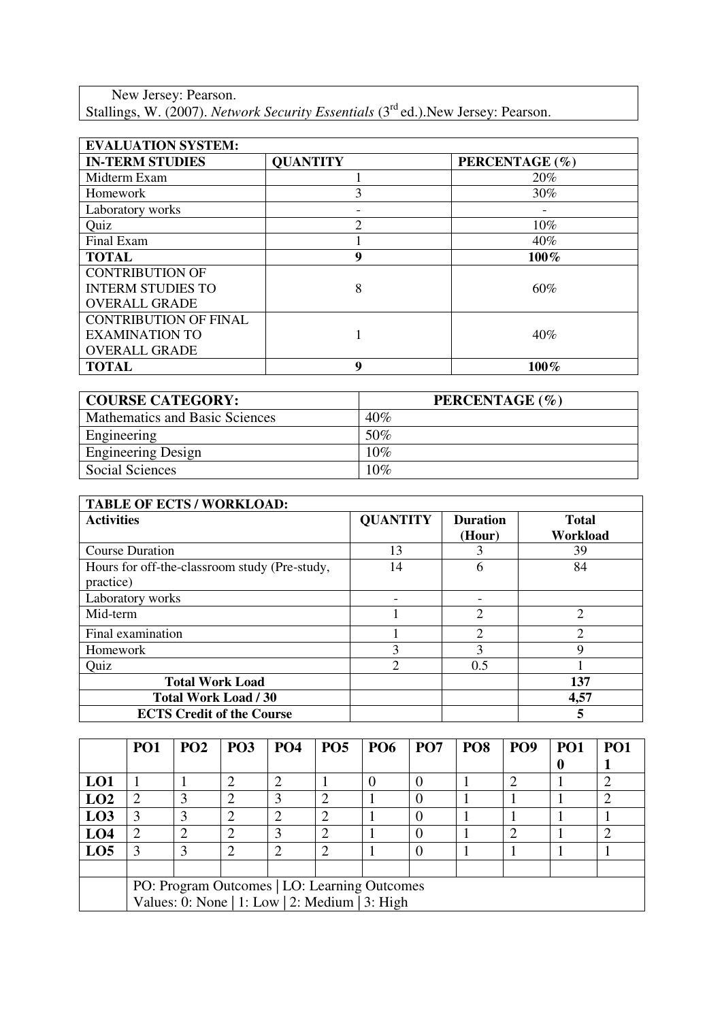New Jersey: Pearson. Stallings, W. (2007). *Network Security Essentials* (3rd ed.).New Jersey: Pearson.

| <b>EVALUATION SYSTEM:</b>    |                 |                |  |  |  |
|------------------------------|-----------------|----------------|--|--|--|
| <b>IN-TERM STUDIES</b>       | <b>QUANTITY</b> | PERCENTAGE (%) |  |  |  |
| Midterm Exam                 |                 | 20%            |  |  |  |
| Homework                     | 3               | 30%            |  |  |  |
| Laboratory works             |                 |                |  |  |  |
| Quiz                         | $\mathfrak{D}$  | $10\%$         |  |  |  |
| Final Exam                   |                 | 40%            |  |  |  |
| <b>TOTAL</b>                 | 9               | $100\%$        |  |  |  |
| <b>CONTRIBUTION OF</b>       |                 |                |  |  |  |
| <b>INTERM STUDIES TO</b>     | 8               | 60%            |  |  |  |
| <b>OVERALL GRADE</b>         |                 |                |  |  |  |
| <b>CONTRIBUTION OF FINAL</b> |                 |                |  |  |  |
| <b>EXAMINATION TO</b>        |                 | 40%            |  |  |  |
| <b>OVERALL GRADE</b>         |                 |                |  |  |  |
| <b>TOTAL</b>                 | 9               | 100%           |  |  |  |

| <b>COURSE CATEGORY:</b>               | PERCENTAGE (%) |
|---------------------------------------|----------------|
| <b>Mathematics and Basic Sciences</b> | 40%            |
| Engineering                           | 50%            |
| <b>Engineering Design</b>             | 10%            |
| <b>Social Sciences</b>                | 10%            |

| <b>TABLE OF ECTS / WORKLOAD:</b>                           |                 |                             |                          |
|------------------------------------------------------------|-----------------|-----------------------------|--------------------------|
| <b>Activities</b>                                          | <b>QUANTITY</b> | <b>Duration</b><br>(Hour)   | <b>Total</b><br>Workload |
| <b>Course Duration</b>                                     | 13              |                             | 39                       |
| Hours for off-the-classroom study (Pre-study,<br>practice) | 14              | 6                           | 84                       |
| Laboratory works                                           |                 |                             |                          |
| Mid-term                                                   |                 | $\mathcal{D}_{\mathcal{L}}$ | $\overline{2}$           |
| Final examination                                          |                 | 2                           | C                        |
| Homework                                                   | 3               | 3                           | 9                        |
| Quiz                                                       | 2               | 0.5                         |                          |
| <b>Total Work Load</b>                                     |                 |                             | 137                      |
| <b>Total Work Load / 30</b>                                |                 |                             | 4,57                     |
| <b>ECTS Credit of the Course</b>                           |                 |                             | 5                        |

|                                              | <b>PO1</b>                                     | PO2 | <b>PO3</b> | <b>PO4</b>     | PO <sub>5</sub> | <b>PO6</b> | PO <sub>7</sub> | PO <sub>8</sub> | PO <sub>9</sub> | <b>PO1</b> | PO <sub>1</sub> |
|----------------------------------------------|------------------------------------------------|-----|------------|----------------|-----------------|------------|-----------------|-----------------|-----------------|------------|-----------------|
|                                              |                                                |     |            |                |                 |            |                 |                 |                 |            |                 |
| LO1                                          |                                                |     |            | $\overline{2}$ |                 |            |                 |                 |                 |            |                 |
| LO2                                          | $\mathcal{D}_{\mathcal{L}}$                    |     |            | 3              | ി               |            |                 |                 |                 |            |                 |
| L <sub>03</sub>                              |                                                |     |            | 2              | ⌒               |            |                 |                 |                 |            |                 |
| LO <sub>4</sub>                              | ∍                                              |     | 2          | 3              | $\mathcal{D}$   |            |                 |                 |                 |            |                 |
| LO <sub>5</sub>                              |                                                |     |            | 2              | ി               |            |                 |                 |                 |            |                 |
|                                              |                                                |     |            |                |                 |            |                 |                 |                 |            |                 |
| PO: Program Outcomes   LO: Learning Outcomes |                                                |     |            |                |                 |            |                 |                 |                 |            |                 |
|                                              | Values: 0: None   1: Low   2: Medium   3: High |     |            |                |                 |            |                 |                 |                 |            |                 |